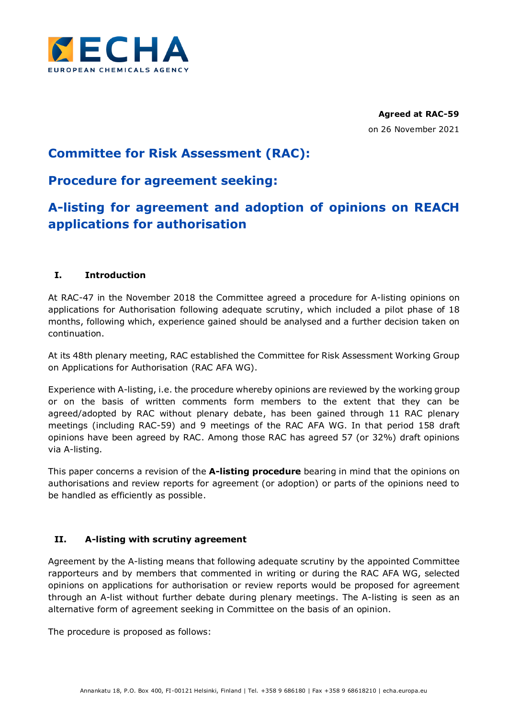

**Agreed at RAC-59** on 26 November 2021

# **Committee for Risk Assessment (RAC):**

## **Procedure for agreement seeking:**

# **A-listing for agreement and adoption of opinions on REACH applications for authorisation**

## **I. Introduction**

At RAC-47 in the November 2018 the Committee agreed a procedure for A-listing opinions on applications for Authorisation following adequate scrutiny, which included a pilot phase of 18 months, following which, experience gained should be analysed and a further decision taken on continuation.

At its 48th plenary meeting, RAC established the Committee for Risk Assessment Working Group on Applications for Authorisation (RAC AFA WG).

Experience with A-listing, i.e. the procedure whereby opinions are reviewed by the working group or on the basis of written comments form members to the extent that they can be agreed/adopted by RAC without plenary debate, has been gained through 11 RAC plenary meetings (including RAC-59) and 9 meetings of the RAC AFA WG. In that period 158 draft opinions have been agreed by RAC. Among those RAC has agreed 57 (or 32%) draft opinions via A-listing.

This paper concerns a revision of the **A-listing procedure** bearing in mind that the opinions on authorisations and review reports for agreement (or adoption) or parts of the opinions need to be handled as efficiently as possible.

### **II. A-listing with scrutiny agreement**

Agreement by the A-listing means that following adequate scrutiny by the appointed Committee rapporteurs and by members that commented in writing or during the RAC AFA WG, selected opinions on applications for authorisation or review reports would be proposed for agreement through an A-list without further debate during plenary meetings. The A-listing is seen as an alternative form of agreement seeking in Committee on the basis of an opinion.

The procedure is proposed as follows: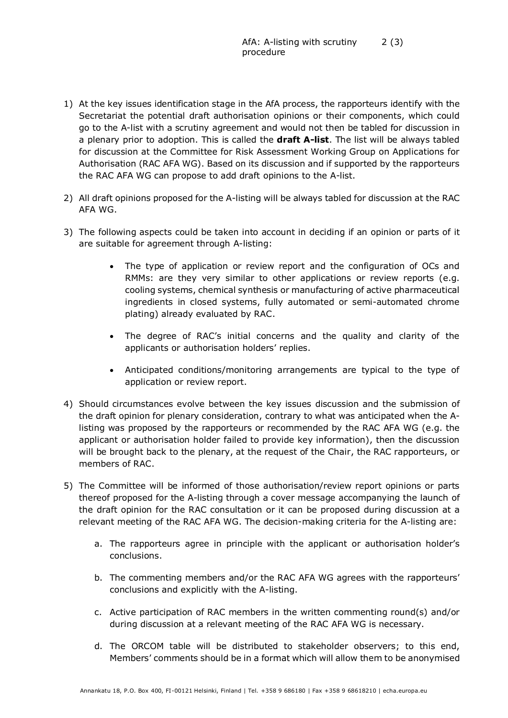- 1) At the key issues identification stage in the AfA process, the rapporteurs identify with the Secretariat the potential draft authorisation opinions or their components, which could go to the A-list with a scrutiny agreement and would not then be tabled for discussion in a plenary prior to adoption. This is called the **draft A-list**. The list will be always tabled for discussion at the Committee for Risk Assessment Working Group on Applications for Authorisation (RAC AFA WG). Based on its discussion and if supported by the rapporteurs the RAC AFA WG can propose to add draft opinions to the A-list.
- 2) All draft opinions proposed for the A-listing will be always tabled for discussion at the RAC AFA WG.
- 3) The following aspects could be taken into account in deciding if an opinion or parts of it are suitable for agreement through A-listing:
	- The type of application or review report and the configuration of OCs and RMMs: are they very similar to other applications or review reports (e.g. cooling systems, chemical synthesis or manufacturing of active pharmaceutical ingredients in closed systems, fully automated or semi-automated chrome plating) already evaluated by RAC.
	- The degree of RAC's initial concerns and the quality and clarity of the applicants or authorisation holders' replies.
	- Anticipated conditions/monitoring arrangements are typical to the type of application or review report.
- 4) Should circumstances evolve between the key issues discussion and the submission of the draft opinion for plenary consideration, contrary to what was anticipated when the Alisting was proposed by the rapporteurs or recommended by the RAC AFA WG (e.g. the applicant or authorisation holder failed to provide key information), then the discussion will be brought back to the plenary, at the request of the Chair, the RAC rapporteurs, or members of RAC.
- 5) The Committee will be informed of those authorisation/review report opinions or parts thereof proposed for the A-listing through a cover message accompanying the launch of the draft opinion for the RAC consultation or it can be proposed during discussion at a relevant meeting of the RAC AFA WG. The decision-making criteria for the A-listing are:
	- a. The rapporteurs agree in principle with the applicant or authorisation holder's conclusions.
	- b. The commenting members and/or the RAC AFA WG agrees with the rapporteurs' conclusions and explicitly with the A-listing.
	- c. Active participation of RAC members in the written commenting round(s) and/or during discussion at a relevant meeting of the RAC AFA WG is necessary.
	- d. The ORCOM table will be distributed to stakeholder observers; to this end, Members' comments should be in a format which will allow them to be anonymised